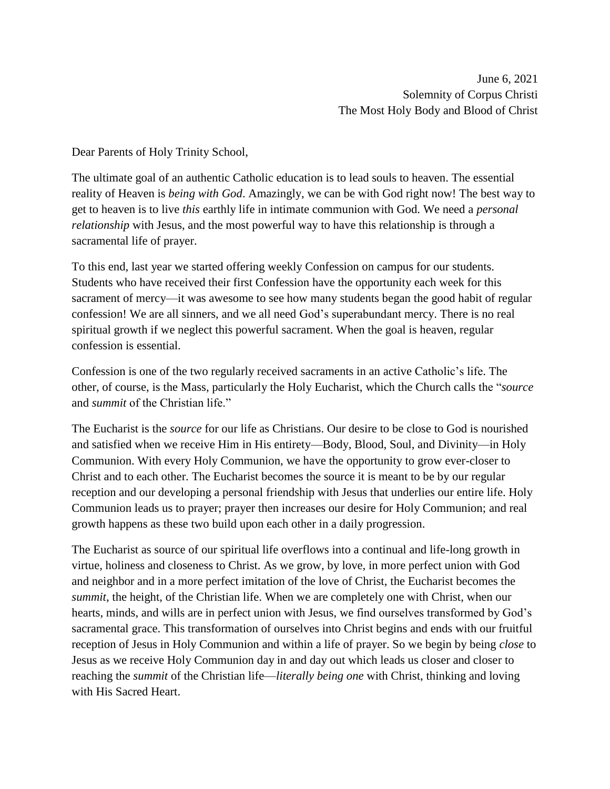Dear Parents of Holy Trinity School,

The ultimate goal of an authentic Catholic education is to lead souls to heaven. The essential reality of Heaven is *being with God*. Amazingly, we can be with God right now! The best way to get to heaven is to live *this* earthly life in intimate communion with God. We need a *personal relationship* with Jesus, and the most powerful way to have this relationship is through a sacramental life of prayer.

To this end, last year we started offering weekly Confession on campus for our students. Students who have received their first Confession have the opportunity each week for this sacrament of mercy—it was awesome to see how many students began the good habit of regular confession! We are all sinners, and we all need God's superabundant mercy. There is no real spiritual growth if we neglect this powerful sacrament. When the goal is heaven, regular confession is essential.

Confession is one of the two regularly received sacraments in an active Catholic's life. The other, of course, is the Mass, particularly the Holy Eucharist, which the Church calls the "*source* and *summit* of the Christian life."

The Eucharist is the *source* for our life as Christians. Our desire to be close to God is nourished and satisfied when we receive Him in His entirety—Body, Blood, Soul, and Divinity—in Holy Communion. With every Holy Communion, we have the opportunity to grow ever-closer to Christ and to each other. The Eucharist becomes the source it is meant to be by our regular reception and our developing a personal friendship with Jesus that underlies our entire life. Holy Communion leads us to prayer; prayer then increases our desire for Holy Communion; and real growth happens as these two build upon each other in a daily progression.

The Eucharist as source of our spiritual life overflows into a continual and life-long growth in virtue, holiness and closeness to Christ. As we grow, by love, in more perfect union with God and neighbor and in a more perfect imitation of the love of Christ, the Eucharist becomes the *summit*, the height, of the Christian life. When we are completely one with Christ, when our hearts, minds, and wills are in perfect union with Jesus, we find ourselves transformed by God's sacramental grace. This transformation of ourselves into Christ begins and ends with our fruitful reception of Jesus in Holy Communion and within a life of prayer. So we begin by being *close* to Jesus as we receive Holy Communion day in and day out which leads us closer and closer to reaching the *summit* of the Christian life—*literally being one* with Christ, thinking and loving with His Sacred Heart.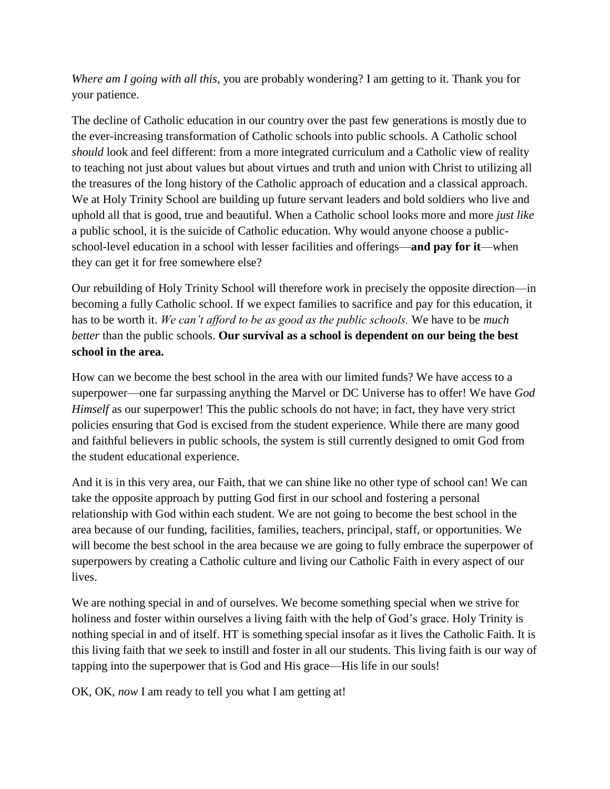*Where am I going with all this*, you are probably wondering? I am getting to it. Thank you for your patience.

The decline of Catholic education in our country over the past few generations is mostly due to the ever-increasing transformation of Catholic schools into public schools. A Catholic school *should* look and feel different: from a more integrated curriculum and a Catholic view of reality to teaching not just about values but about virtues and truth and union with Christ to utilizing all the treasures of the long history of the Catholic approach of education and a classical approach. We at Holy Trinity School are building up future servant leaders and bold soldiers who live and uphold all that is good, true and beautiful. When a Catholic school looks more and more *just like* a public school, it is the suicide of Catholic education. Why would anyone choose a publicschool-level education in a school with lesser facilities and offerings—**and pay for it**—when they can get it for free somewhere else?

Our rebuilding of Holy Trinity School will therefore work in precisely the opposite direction—in becoming a fully Catholic school. If we expect families to sacrifice and pay for this education, it has to be worth it. *We can't afford to be as good as the public schools.* We have to be *much better* than the public schools. **Our survival as a school is dependent on our being the best school in the area.**

How can we become the best school in the area with our limited funds? We have access to a superpower—one far surpassing anything the Marvel or DC Universe has to offer! We have *God Himself* as our superpower! This the public schools do not have; in fact, they have very strict policies ensuring that God is excised from the student experience. While there are many good and faithful believers in public schools, the system is still currently designed to omit God from the student educational experience.

And it is in this very area, our Faith, that we can shine like no other type of school can! We can take the opposite approach by putting God first in our school and fostering a personal relationship with God within each student. We are not going to become the best school in the area because of our funding, facilities, families, teachers, principal, staff, or opportunities. We will become the best school in the area because we are going to fully embrace the superpower of superpowers by creating a Catholic culture and living our Catholic Faith in every aspect of our lives.

We are nothing special in and of ourselves. We become something special when we strive for holiness and foster within ourselves a living faith with the help of God's grace. Holy Trinity is nothing special in and of itself. HT is something special insofar as it lives the Catholic Faith. It is this living faith that we seek to instill and foster in all our students. This living faith is our way of tapping into the superpower that is God and His grace—His life in our souls!

OK, OK, *now* I am ready to tell you what I am getting at!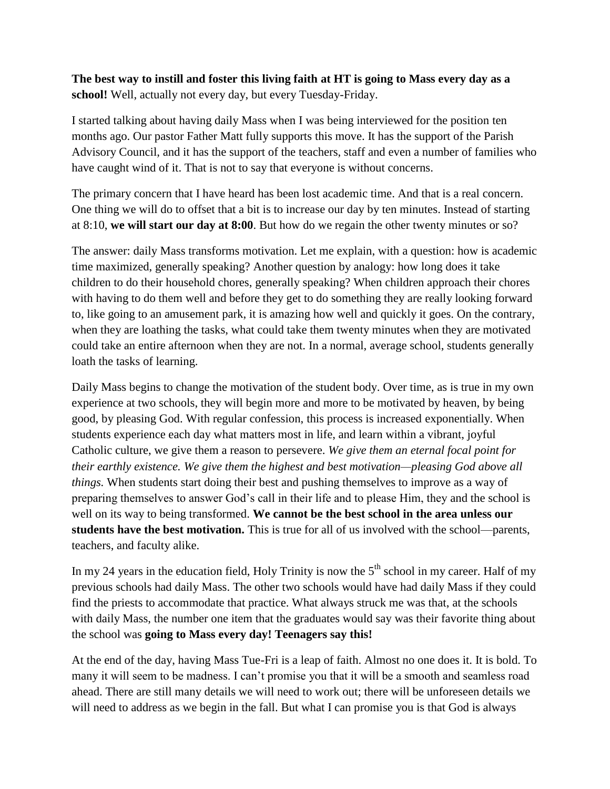## **The best way to instill and foster this living faith at HT is going to Mass every day as a school!** Well, actually not every day, but every Tuesday-Friday.

I started talking about having daily Mass when I was being interviewed for the position ten months ago. Our pastor Father Matt fully supports this move. It has the support of the Parish Advisory Council, and it has the support of the teachers, staff and even a number of families who have caught wind of it. That is not to say that everyone is without concerns.

The primary concern that I have heard has been lost academic time. And that is a real concern. One thing we will do to offset that a bit is to increase our day by ten minutes. Instead of starting at 8:10, **we will start our day at 8:00**. But how do we regain the other twenty minutes or so?

The answer: daily Mass transforms motivation. Let me explain, with a question: how is academic time maximized, generally speaking? Another question by analogy: how long does it take children to do their household chores, generally speaking? When children approach their chores with having to do them well and before they get to do something they are really looking forward to, like going to an amusement park, it is amazing how well and quickly it goes. On the contrary, when they are loathing the tasks, what could take them twenty minutes when they are motivated could take an entire afternoon when they are not. In a normal, average school, students generally loath the tasks of learning.

Daily Mass begins to change the motivation of the student body. Over time, as is true in my own experience at two schools, they will begin more and more to be motivated by heaven, by being good, by pleasing God. With regular confession, this process is increased exponentially. When students experience each day what matters most in life, and learn within a vibrant, joyful Catholic culture, we give them a reason to persevere. *We give them an eternal focal point for their earthly existence. We give them the highest and best motivation—pleasing God above all things.* When students start doing their best and pushing themselves to improve as a way of preparing themselves to answer God's call in their life and to please Him, they and the school is well on its way to being transformed. **We cannot be the best school in the area unless our students have the best motivation.** This is true for all of us involved with the school—parents, teachers, and faculty alike.

In my 24 years in the education field, Holy Trinity is now the  $5<sup>th</sup>$  school in my career. Half of my previous schools had daily Mass. The other two schools would have had daily Mass if they could find the priests to accommodate that practice. What always struck me was that, at the schools with daily Mass, the number one item that the graduates would say was their favorite thing about the school was **going to Mass every day! Teenagers say this!**

At the end of the day, having Mass Tue-Fri is a leap of faith. Almost no one does it. It is bold. To many it will seem to be madness. I can't promise you that it will be a smooth and seamless road ahead. There are still many details we will need to work out; there will be unforeseen details we will need to address as we begin in the fall. But what I can promise you is that God is always